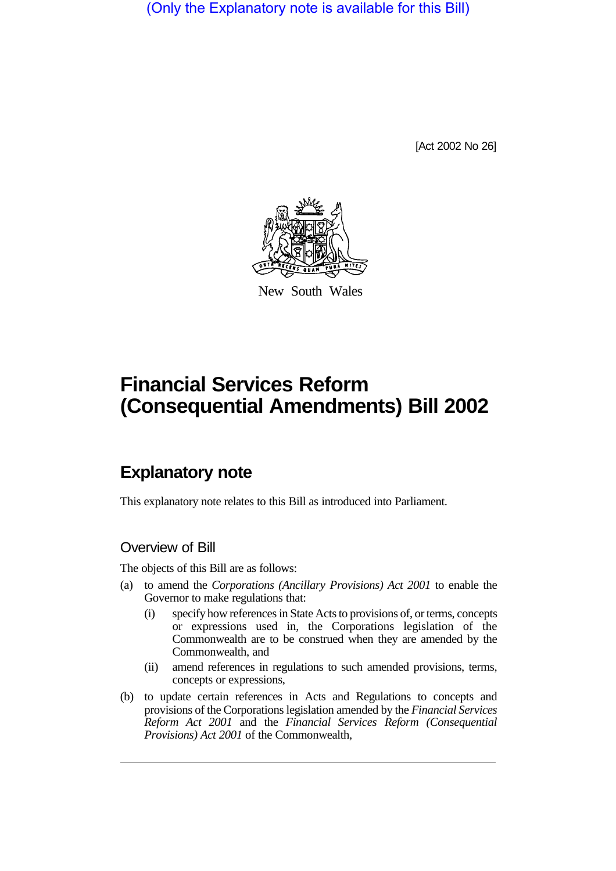(Only the Explanatory note is available for this Bill)

[Act 2002 No 26]



New South Wales

# **Financial Services Reform (Consequential Amendments) Bill 2002**

## **Explanatory note**

This explanatory note relates to this Bill as introduced into Parliament.

### Overview of Bill

The objects of this Bill are as follows:

- (a) to amend the *Corporations (Ancillary Provisions) Act 2001* to enable the Governor to make regulations that:
	- (i) specify how references in State Acts to provisions of, or terms, concepts or expressions used in, the Corporations legislation of the Commonwealth are to be construed when they are amended by the Commonwealth, and
	- (ii) amend references in regulations to such amended provisions, terms, concepts or expressions,
- (b) to update certain references in Acts and Regulations to concepts and provisions of the Corporations legislation amended by the *Financial Services Reform Act 2001* and the *Financial Services Reform (Consequential Provisions) Act 2001* of the Commonwealth,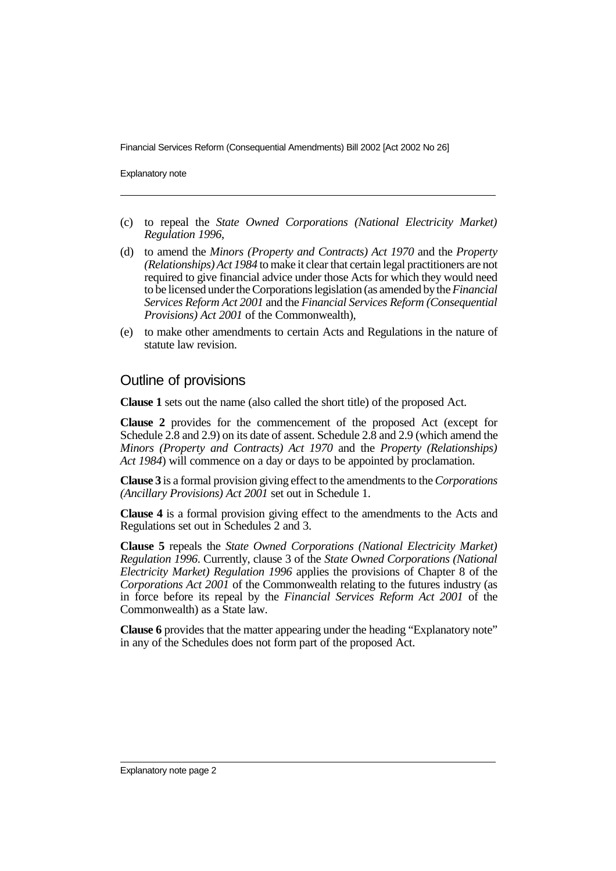Financial Services Reform (Consequential Amendments) Bill 2002 [Act 2002 No 26]

Explanatory note

- (c) to repeal the *State Owned Corporations (National Electricity Market) Regulation 1996*,
- (d) to amend the *Minors (Property and Contracts) Act 1970* and the *Property (Relationships) Act 1984* to make it clear that certain legal practitioners are not required to give financial advice under those Acts for which they would need to be licensed under the Corporations legislation (as amended bythe*Financial Services Reform Act 2001* and the *Financial Services Reform (Consequential Provisions) Act 2001* of the Commonwealth),
- (e) to make other amendments to certain Acts and Regulations in the nature of statute law revision.

#### Outline of provisions

**Clause 1** sets out the name (also called the short title) of the proposed Act.

**Clause 2** provides for the commencement of the proposed Act (except for Schedule 2.8 and 2.9) on its date of assent. Schedule 2.8 and 2.9 (which amend the *Minors (Property and Contracts) Act 1970* and the *Property (Relationships) Act 1984*) will commence on a day or days to be appointed by proclamation.

**Clause 3** is a formal provision giving effect to the amendments to the*Corporations (Ancillary Provisions) Act 2001* set out in Schedule 1.

**Clause 4** is a formal provision giving effect to the amendments to the Acts and Regulations set out in Schedules 2 and 3.

**Clause 5** repeals the *State Owned Corporations (National Electricity Market) Regulation 1996*. Currently, clause 3 of the *State Owned Corporations (National Electricity Market) Regulation 1996* applies the provisions of Chapter 8 of the *Corporations Act 2001* of the Commonwealth relating to the futures industry (as in force before its repeal by the *Financial Services Reform Act 2001* of the Commonwealth) as a State law.

**Clause 6** provides that the matter appearing under the heading "Explanatory note" in any of the Schedules does not form part of the proposed Act.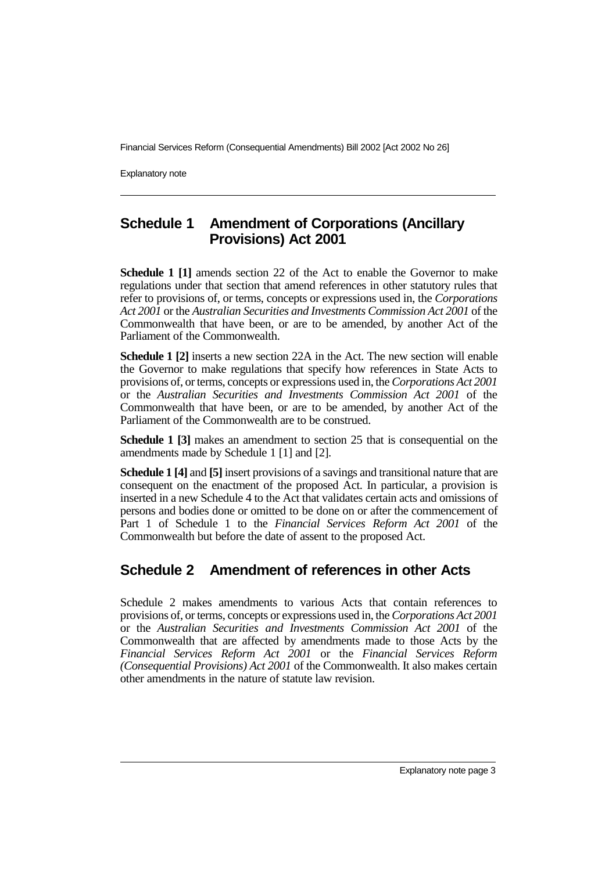Financial Services Reform (Consequential Amendments) Bill 2002 [Act 2002 No 26]

Explanatory note

## **Schedule 1 Amendment of Corporations (Ancillary Provisions) Act 2001**

**Schedule 1 [1]** amends section 22 of the Act to enable the Governor to make regulations under that section that amend references in other statutory rules that refer to provisions of, or terms, concepts or expressions used in, the *Corporations Act 2001* or the *Australian Securities and Investments Commission Act 2001* of the Commonwealth that have been, or are to be amended, by another Act of the Parliament of the Commonwealth.

**Schedule 1 [2]** inserts a new section 22A in the Act. The new section will enable the Governor to make regulations that specify how references in State Acts to provisions of, or terms, concepts or expressions used in, the*Corporations Act 2001* or the *Australian Securities and Investments Commission Act 2001* of the Commonwealth that have been, or are to be amended, by another Act of the Parliament of the Commonwealth are to be construed.

**Schedule 1 [3]** makes an amendment to section 25 that is consequential on the amendments made by Schedule 1 [1] and [2].

**Schedule 1 [4]** and **[5]** insert provisions of a savings and transitional nature that are consequent on the enactment of the proposed Act. In particular, a provision is inserted in a new Schedule 4 to the Act that validates certain acts and omissions of persons and bodies done or omitted to be done on or after the commencement of Part 1 of Schedule 1 to the *Financial Services Reform Act 2001* of the Commonwealth but before the date of assent to the proposed Act.

## **Schedule 2 Amendment of references in other Acts**

Schedule 2 makes amendments to various Acts that contain references to provisions of, or terms, concepts or expressions used in, the*Corporations Act 2001* or the *Australian Securities and Investments Commission Act 2001* of the Commonwealth that are affected by amendments made to those Acts by the *Financial Services Reform Act 2001* or the *Financial Services Reform (Consequential Provisions) Act 2001* of the Commonwealth. It also makes certain other amendments in the nature of statute law revision.